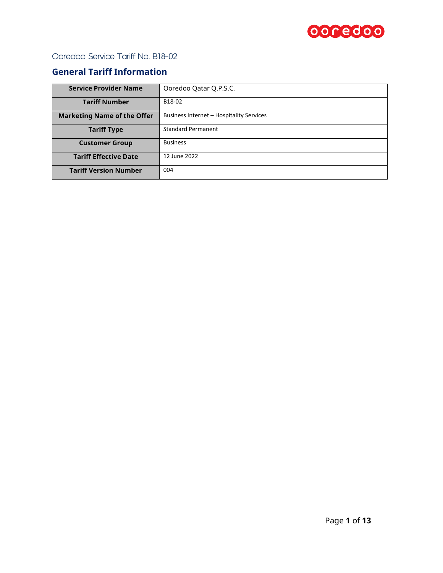

## **General Tariff Information**

| <b>Service Provider Name</b>       | Ooredoo Qatar Q.P.S.C.                   |  |
|------------------------------------|------------------------------------------|--|
| <b>Tariff Number</b>               | B18-02                                   |  |
| <b>Marketing Name of the Offer</b> | Business Internet - Hospitality Services |  |
| <b>Tariff Type</b>                 | <b>Standard Permanent</b>                |  |
| <b>Customer Group</b>              | <b>Business</b>                          |  |
| <b>Tariff Effective Date</b>       | 12 June 2022                             |  |
| <b>Tariff Version Number</b>       | 004                                      |  |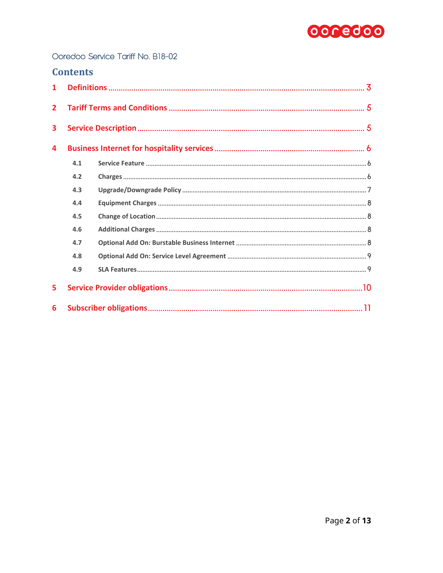

## **Contents**

| $\mathbf{1}$   |     |  |
|----------------|-----|--|
| $\overline{2}$ |     |  |
| 3              |     |  |
| 4              |     |  |
|                | 4.1 |  |
|                | 4.2 |  |
|                | 4.3 |  |
|                | 4.4 |  |
|                | 4.5 |  |
|                | 4.6 |  |
|                | 4.7 |  |
|                | 4.8 |  |
|                | 4.9 |  |
| 5              |     |  |
| 6              |     |  |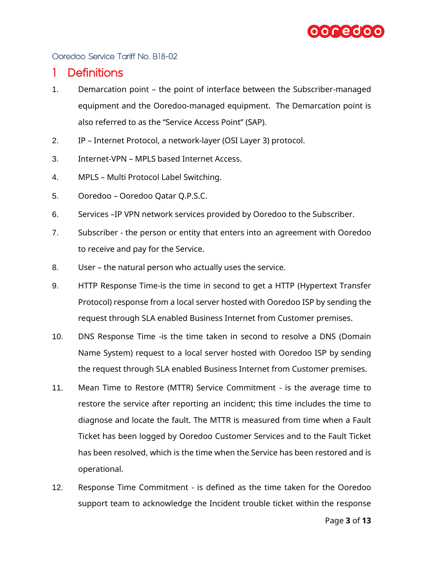

### <span id="page-2-0"></span>1 Definitions

- 1. Demarcation point the point of interface between the Subscriber-managed equipment and the Ooredoo-managed equipment. The Demarcation point is also referred to as the "Service Access Point" (SAP).
- 2. IP Internet Protocol, a network-layer (OSI Layer 3) protocol.
- 3. Internet-VPN MPLS based Internet Access.
- 4. MPLS Multi Protocol Label Switching.
- 5. Ooredoo Ooredoo Qatar Q.P.S.C.
- 6. Services –IP VPN network services provided by Ooredoo to the Subscriber.
- 7. Subscriber the person or entity that enters into an agreement with Ooredoo to receive and pay for the Service.
- 8. User the natural person who actually uses the service.
- 9. HTTP Response Time-is the time in second to get a HTTP (Hypertext Transfer Protocol) response from a local server hosted with Ooredoo ISP by sending the request through SLA enabled Business Internet from Customer premises.
- 10. DNS Response Time -is the time taken in second to resolve a DNS (Domain Name System) request to a local server hosted with Ooredoo ISP by sending the request through SLA enabled Business Internet from Customer premises.
- 11. Mean Time to Restore (MTTR) Service Commitment is the average time to restore the service after reporting an incident; this time includes the time to diagnose and locate the fault. The MTTR is measured from time when a Fault Ticket has been logged by Ooredoo Customer Services and to the Fault Ticket has been resolved, which is the time when the Service has been restored and is operational.
- 12. Response Time Commitment is defined as the time taken for the Ooredoo support team to acknowledge the Incident trouble ticket within the response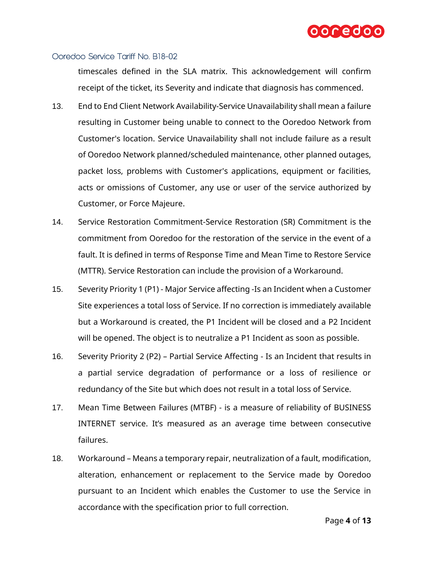

timescales defined in the SLA matrix. This acknowledgement will confirm receipt of the ticket, its Severity and indicate that diagnosis has commenced.

- 13. End to End Client Network Availability-Service Unavailability shall mean a failure resulting in Customer being unable to connect to the Ooredoo Network from Customer's location. Service Unavailability shall not include failure as a result of Ooredoo Network planned/scheduled maintenance, other planned outages, packet loss, problems with Customer's applications, equipment or facilities, acts or omissions of Customer, any use or user of the service authorized by Customer, or Force Majeure.
- 14. Service Restoration Commitment-Service Restoration (SR) Commitment is the commitment from Ooredoo for the restoration of the service in the event of a fault. It is defined in terms of Response Time and Mean Time to Restore Service (MTTR). Service Restoration can include the provision of a Workaround.
- 15. Severity Priority 1 (P1) Major Service affecting -Is an Incident when a Customer Site experiences a total loss of Service. If no correction is immediately available but a Workaround is created, the P1 Incident will be closed and a P2 Incident will be opened. The object is to neutralize a P1 Incident as soon as possible.
- 16. Severity Priority 2 (P2) Partial Service Affecting Is an Incident that results in a partial service degradation of performance or a loss of resilience or redundancy of the Site but which does not result in a total loss of Service.
- 17. Mean Time Between Failures (MTBF) is a measure of reliability of BUSINESS INTERNET service. It's measured as an average time between consecutive failures.
- 18. Workaround Means a temporary repair, neutralization of a fault, modification, alteration, enhancement or replacement to the Service made by Ooredoo pursuant to an Incident which enables the Customer to use the Service in accordance with the specification prior to full correction.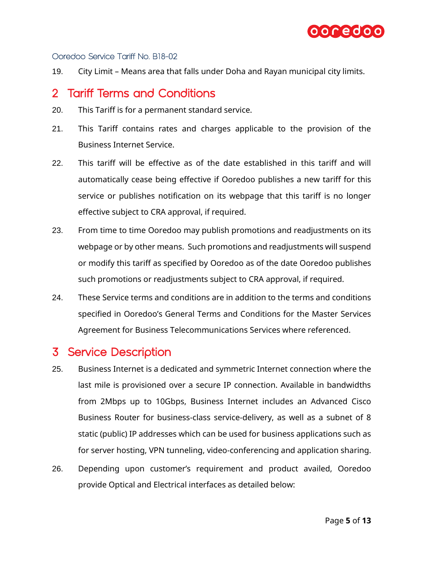

19. City Limit – Means area that falls under Doha and Rayan municipal city limits.

# <span id="page-4-0"></span>2 Tariff Terms and Conditions

- 20. This Tariff is for a permanent standard service.
- 21. This Tariff contains rates and charges applicable to the provision of the Business Internet Service.
- 22. This tariff will be effective as of the date established in this tariff and will automatically cease being effective if Ooredoo publishes a new tariff for this service or publishes notification on its webpage that this tariff is no longer effective subject to CRA approval, if required.
- 23. From time to time Ooredoo may publish promotions and readjustments on its webpage or by other means. Such promotions and readjustments will suspend or modify this tariff as specified by Ooredoo as of the date Ooredoo publishes such promotions or readjustments subject to CRA approval, if required.
- 24. These Service terms and conditions are in addition to the terms and conditions specified in Ooredoo's General Terms and Conditions for the Master Services Agreement for Business Telecommunications Services where referenced.

# <span id="page-4-1"></span>3 Service Description

- 25. Business Internet is a dedicated and symmetric Internet connection where the last mile is provisioned over a secure IP connection. Available in bandwidths from 2Mbps up to 10Gbps, Business Internet includes an Advanced Cisco Business Router for business-class service-delivery, as well as a subnet of 8 static (public) IP addresses which can be used for business applications such as for server hosting, VPN tunneling, video-conferencing and application sharing.
- 26. Depending upon customer's requirement and product availed, Ooredoo provide Optical and Electrical interfaces as detailed below: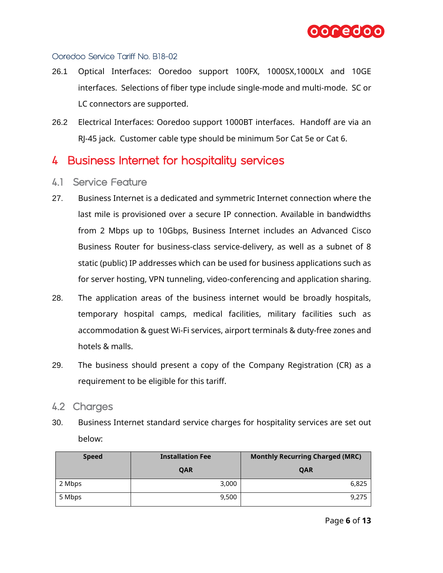

- 26.1 Optical Interfaces: Ooredoo support 100FX, 1000SX,1000LX and 10GE interfaces. Selections of fiber type include single-mode and multi-mode. SC or LC connectors are supported.
- 26.2 Electrical Interfaces: Ooredoo support 1000BT interfaces. Handoff are via an RJ-45 jack. Customer cable type should be minimum 5or Cat 5e or Cat 6.

# <span id="page-5-0"></span>4 Business Internet for hospitality services

- <span id="page-5-1"></span>4.1 Service Feature
- 27. Business Internet is a dedicated and symmetric Internet connection where the last mile is provisioned over a secure IP connection. Available in bandwidths from 2 Mbps up to 10Gbps, Business Internet includes an Advanced Cisco Business Router for business-class service-delivery, as well as a subnet of 8 static (public) IP addresses which can be used for business applications such as for server hosting, VPN tunneling, video-conferencing and application sharing.
- 28. The application areas of the business internet would be broadly hospitals, temporary hospital camps, medical facilities, military facilities such as accommodation & guest Wi-Fi services, airport terminals & duty-free zones and hotels & malls.
- 29. The business should present a copy of the Company Registration (CR) as a requirement to be eligible for this tariff.

#### <span id="page-5-2"></span>4.2 Charges

30. Business Internet standard service charges for hospitality services are set out below:

| <b>Speed</b> | <b>Installation Fee</b> | <b>Monthly Recurring Charged (MRC)</b> |
|--------------|-------------------------|----------------------------------------|
|              | QAR                     | QAR                                    |
| 2 Mbps       | 3,000                   | 6,825                                  |
| 5 Mbps       | 9,500                   | 9,275                                  |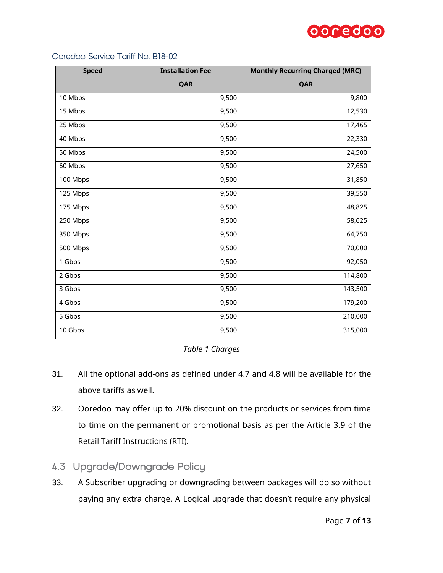

| <b>Speed</b> | <b>Installation Fee</b> | <b>Monthly Recurring Charged (MRC)</b> |  |
|--------------|-------------------------|----------------------------------------|--|
|              | QAR                     | QAR                                    |  |
| 10 Mbps      | 9,500                   | 9,800                                  |  |
| 15 Mbps      | 9,500                   | 12,530                                 |  |
| 25 Mbps      | 9,500                   | 17,465                                 |  |
| 40 Mbps      | 9,500                   | 22,330                                 |  |
| 50 Mbps      | 9,500                   | 24,500                                 |  |
| 60 Mbps      | 9,500                   | 27,650                                 |  |
| 100 Mbps     | 9,500                   | 31,850                                 |  |
| 125 Mbps     | 9,500                   | 39,550                                 |  |
| 175 Mbps     | 9,500                   | 48,825                                 |  |
| 250 Mbps     | 9,500                   | 58,625                                 |  |
| 350 Mbps     | 9,500                   | 64,750                                 |  |
| 500 Mbps     | 9,500                   | 70,000                                 |  |
| 1 Gbps       | 9,500                   | 92,050                                 |  |
| 2 Gbps       | 9,500                   | 114,800                                |  |
| 3 Gbps       | 9,500                   | 143,500                                |  |
| 4 Gbps       | 9,500                   | 179,200                                |  |
| 5 Gbps       | 9,500                   | 210,000                                |  |
| 10 Gbps      | 9,500                   | 315,000                                |  |

#### *Table 1 Charges*

- 31. All the optional add-ons as defined under [4.7](#page-7-3) and [4.8](#page-8-0) will be available for the above tariffs as well.
- 32. Ooredoo may offer up to 20% discount on the products or services from time to time on the permanent or promotional basis as per the Article 3.9 of the Retail Tariff Instructions (RTI).
- <span id="page-6-0"></span>4.3 Upgrade/Downgrade Policy
- 33. A Subscriber upgrading or downgrading between packages will do so without paying any extra charge. A Logical upgrade that doesn't require any physical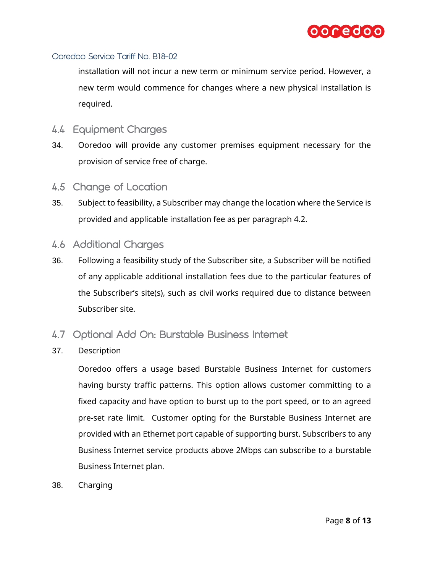

installation will not incur a new term or minimum service period. However, a new term would commence for changes where a new physical installation is required.

- <span id="page-7-0"></span>4.4 Equipment Charges
- 34. Ooredoo will provide any customer premises equipment necessary for the provision of service free of charge.
- <span id="page-7-1"></span>4.5 Change of Location
- 35. Subject to feasibility, a Subscriber may change the location where the Service is provided and applicable installation fee as per paragraph [4.2.](#page-5-2)
- <span id="page-7-2"></span>4.6 Additional Charges
- 36. Following a feasibility study of the Subscriber site, a Subscriber will be notified of any applicable additional installation fees due to the particular features of the Subscriber's site(s), such as civil works required due to distance between Subscriber site.
- <span id="page-7-3"></span>4.7 Optional Add On: Burstable Business Internet
- 37. Description

Ooredoo offers a usage based Burstable Business Internet for customers having bursty traffic patterns. This option allows customer committing to a fixed capacity and have option to burst up to the port speed, or to an agreed pre-set rate limit. Customer opting for the Burstable Business Internet are provided with an Ethernet port capable of supporting burst. Subscribers to any Business Internet service products above 2Mbps can subscribe to a burstable Business Internet plan.

38. Charging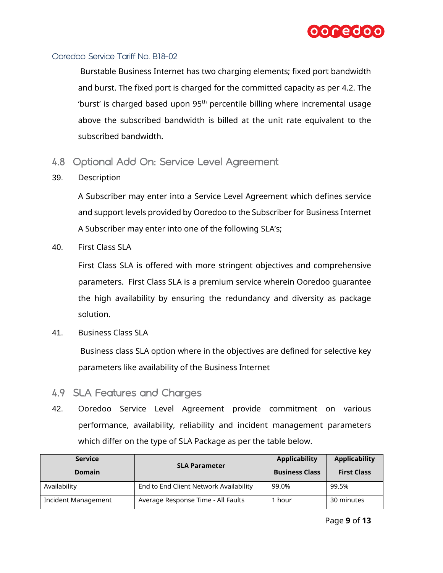

Burstable Business Internet has two charging elements; fixed port bandwidth and burst. The fixed port is charged for the committed capacity as per [4.2.](#page-5-2) The 'burst' is charged based upon  $95<sup>th</sup>$  percentile billing where incremental usage above the subscribed bandwidth is billed at the unit rate equivalent to the subscribed bandwidth.

- <span id="page-8-0"></span>4.8 Optional Add On: Service Level Agreement
- 39. Description

A Subscriber may enter into a Service Level Agreement which defines service and support levels provided by Ooredoo to the Subscriber for Business Internet A Subscriber may enter into one of the following SLA's;

40. First Class SLA

First Class SLA is offered with more stringent objectives and comprehensive parameters. First Class SLA is a premium service wherein Ooredoo guarantee the high availability by ensuring the redundancy and diversity as package solution.

41. Business Class SLA

Business class SLA option where in the objectives are defined for selective key parameters like availability of the Business Internet

- <span id="page-8-1"></span>4.9 SLA Features and Charges
- 42. Ooredoo Service Level Agreement provide commitment on various performance, availability, reliability and incident management parameters which differ on the type of SLA Package as per the table below.

| <b>Service</b><br><b>Domain</b> | <b>SLA Parameter</b>                   | <b>Applicability</b><br><b>Business Class</b> | <b>Applicability</b><br><b>First Class</b> |
|---------------------------------|----------------------------------------|-----------------------------------------------|--------------------------------------------|
| Availability                    | End to End Client Network Availability | 99.0%                                         | 99.5%                                      |
| <b>Incident Management</b>      | Average Response Time - All Faults     | hour –                                        | 30 minutes                                 |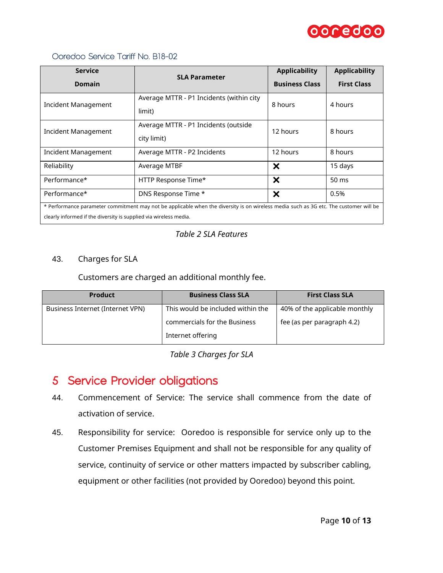

| <b>Service</b>                                                                                                                                                                                             | <b>SLA Parameter</b>                                | <b>Applicability</b>      | <b>Applicability</b> |
|------------------------------------------------------------------------------------------------------------------------------------------------------------------------------------------------------------|-----------------------------------------------------|---------------------------|----------------------|
| <b>Domain</b>                                                                                                                                                                                              |                                                     | <b>Business Class</b>     | <b>First Class</b>   |
| Incident Management                                                                                                                                                                                        | Average MTTR - P1 Incidents (within city<br>limit)  | 8 hours                   | 4 hours              |
| Incident Management                                                                                                                                                                                        | Average MTTR - P1 Incidents (outside<br>city limit) | 12 hours                  | 8 hours              |
| <b>Incident Management</b>                                                                                                                                                                                 | Average MTTR - P2 Incidents                         | 12 hours                  | 8 hours              |
| Reliability                                                                                                                                                                                                | Average MTBF                                        | $\boldsymbol{\mathsf{x}}$ | 15 days              |
| Performance*                                                                                                                                                                                               | HTTP Response Time*                                 | ×                         | $50 \text{ ms}$      |
| Performance*                                                                                                                                                                                               | DNS Response Time *                                 | X                         | 0.5%                 |
| * Performance parameter commitment may not be applicable when the diversity is on wireless media such as 3G etc. The customer will be<br>clearly informed if the diversity is supplied via wireless media. |                                                     |                           |                      |

#### *Table 2 SLA Features*

#### 43. Charges for SLA

Customers are charged an additional monthly fee.

| <b>Product</b>                   | <b>Business Class SLA</b>         | <b>First Class SLA</b>        |
|----------------------------------|-----------------------------------|-------------------------------|
| Business Internet (Internet VPN) | This would be included within the | 40% of the applicable monthly |
|                                  | commercials for the Business      | fee (as per paragraph 4.2)    |
|                                  | Internet offering                 |                               |

*Table 3 Charges for SLA*

# <span id="page-9-0"></span>5 Service Provider obligations

- 44. Commencement of Service: The service shall commence from the date of activation of service.
- 45. Responsibility for service: Ooredoo is responsible for service only up to the Customer Premises Equipment and shall not be responsible for any quality of service, continuity of service or other matters impacted by subscriber cabling, equipment or other facilities (not provided by Ooredoo) beyond this point.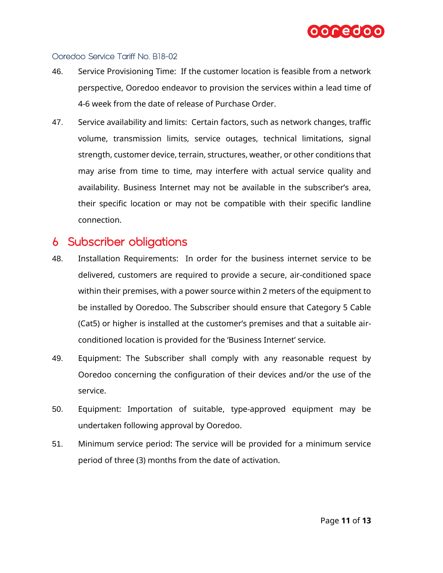

- 46. Service Provisioning Time: If the customer location is feasible from a network perspective, Ooredoo endeavor to provision the services within a lead time of 4-6 week from the date of release of Purchase Order.
- 47. Service availability and limits: Certain factors, such as network changes, traffic volume, transmission limits, service outages, technical limitations, signal strength, customer device, terrain, structures, weather, or other conditions that may arise from time to time, may interfere with actual service quality and availability. Business Internet may not be available in the subscriber's area, their specific location or may not be compatible with their specific landline connection.

## <span id="page-10-0"></span>6 Subscriber obligations

- 48. Installation Requirements: In order for the business internet service to be delivered, customers are required to provide a secure, air-conditioned space within their premises, with a power source within 2 meters of the equipment to be installed by Ooredoo. The Subscriber should ensure that Category 5 Cable (Cat5) or higher is installed at the customer's premises and that a suitable airconditioned location is provided for the 'Business Internet' service.
- 49. Equipment: The Subscriber shall comply with any reasonable request by Ooredoo concerning the configuration of their devices and/or the use of the service.
- 50. Equipment: Importation of suitable, type-approved equipment may be undertaken following approval by Ooredoo.
- 51. Minimum service period: The service will be provided for a minimum service period of three (3) months from the date of activation.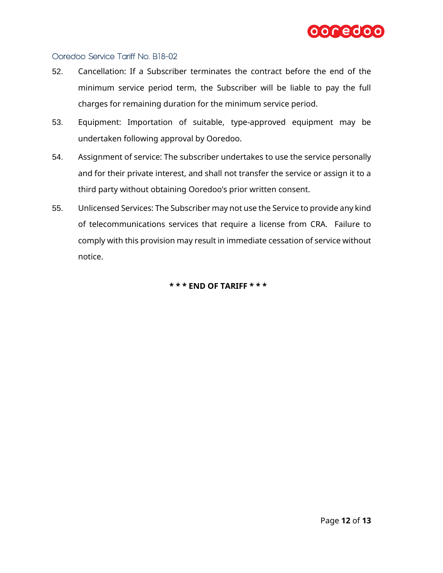

- 52. Cancellation: If a Subscriber terminates the contract before the end of the minimum service period term, the Subscriber will be liable to pay the full charges for remaining duration for the minimum service period.
- 53. Equipment: Importation of suitable, type-approved equipment may be undertaken following approval by Ooredoo.
- 54. Assignment of service: The subscriber undertakes to use the service personally and for their private interest, and shall not transfer the service or assign it to a third party without obtaining Ooredoo's prior written consent.
- 55. Unlicensed Services: The Subscriber may not use the Service to provide any kind of telecommunications services that require a license from CRA. Failure to comply with this provision may result in immediate cessation of service without notice.

**\* \* \* END OF TARIFF \* \* \***